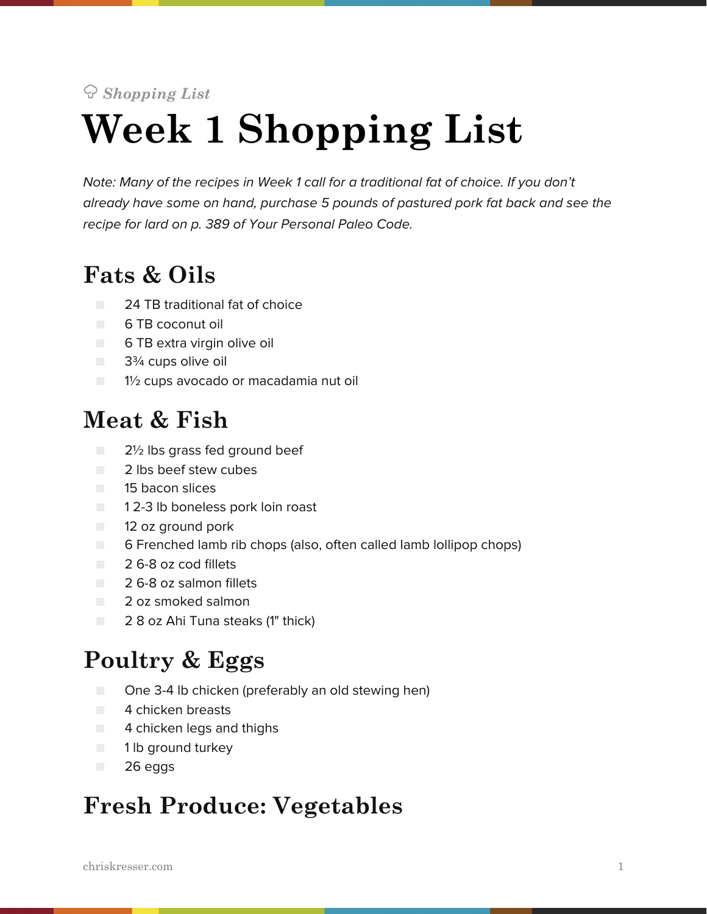# *Shopping List* **Week 1 Shopping List**

*Note: Many of the recipes in Week 1 call for a traditional fat of choice. If you don't already have some on hand, purchase 5 pounds of pastured pork fat back and see the recipe for lard on p. 389 of Your Personal Paleo Code.*

# **Fats & Oils**

- 24 TB traditional fat of choice
- 6 TB coconut oil
- 6 TB extra virgin olive oil
- 3<sup>3</sup>⁄4 cups olive oil
- 1½ cups avocado or macadamia nut oil

#### **Meat & Fish**

- 2½ lbs grass fed ground beef
- 2 lbs beef stew cubes
- 15 bacon slices
- 12-3 lb boneless pork loin roast
- 12 oz ground pork
- 6 Frenched lamb rib chops (also, often called lamb lollipop chops)
- 2.6-8 oz cod fillets
- 2 6-8 oz salmon fillets
- 2 oz smoked salmon
- 2 8 oz Ahi Tuna steaks (1" thick)

## **Poultry & Eggs**

- One 3-4 lb chicken (preferably an old stewing hen)
- 4 chicken breasts
- 4 chicken legs and thighs
- 1 lb ground turkey
- 26 eggs

## **Fresh Produce: Vegetables**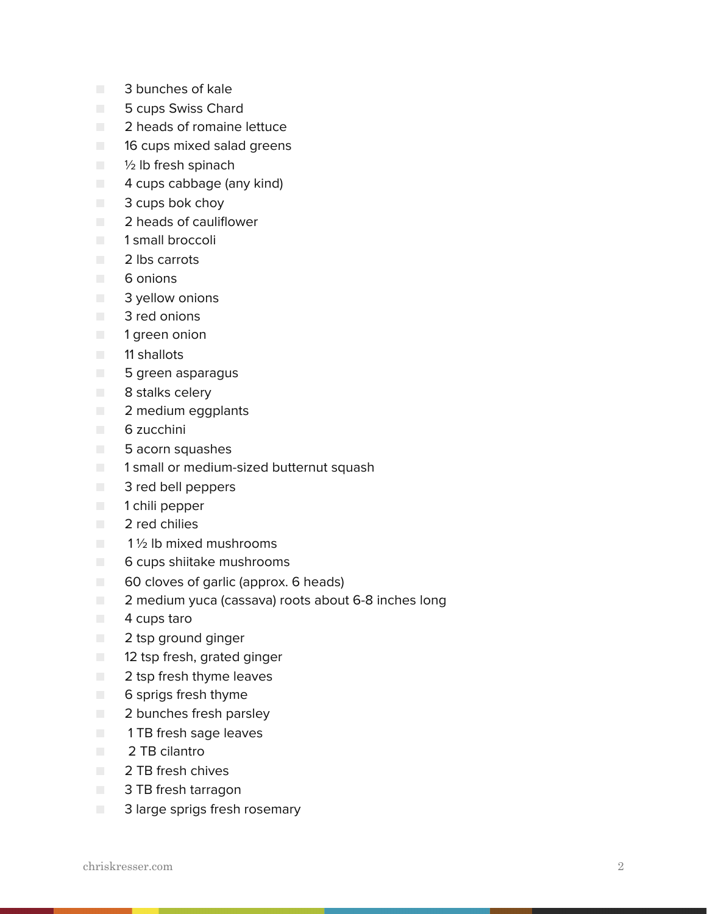- 3 bunches of kale
- 5 cups Swiss Chard
- 2 heads of romaine lettuce
- 16 cups mixed salad greens
- 1/2 lb fresh spinach
- 4 cups cabbage (any kind)
- 3 cups bok choy
- 2 heads of cauliflower
- 1 small broccoli
- 2 lbs carrots
- 6 onions
- **B** 3 yellow onions
- 3 red onions
- 1 green onion
- 11 shallots
- 5 green asparagus
- 8 stalks celery
- 2 medium eggplants
- 6 zucchini
- 5 acorn squashes
- 1 small or medium-sized butternut squash
- 3 red bell peppers
- 1 chili pepper
- 2 red chilies
- $\blacksquare$  1  $\frac{1}{2}$  lb mixed mushrooms
- 6 cups shiitake mushrooms
- 60 cloves of garlic (approx. 6 heads)
- 2 medium yuca (cassava) roots about 6-8 inches long
- 4 cups taro
- 2 tsp ground ginger
- 12 tsp fresh, grated ginger
- 2 tsp fresh thyme leaves
- 6 sprigs fresh thyme
- 2 bunches fresh parsley
- **THE 1 TB fresh sage leaves**
- 2 TB cilantro
- 2 TB fresh chives
- 3 TB fresh tarragon
- 3 large sprigs fresh rosemary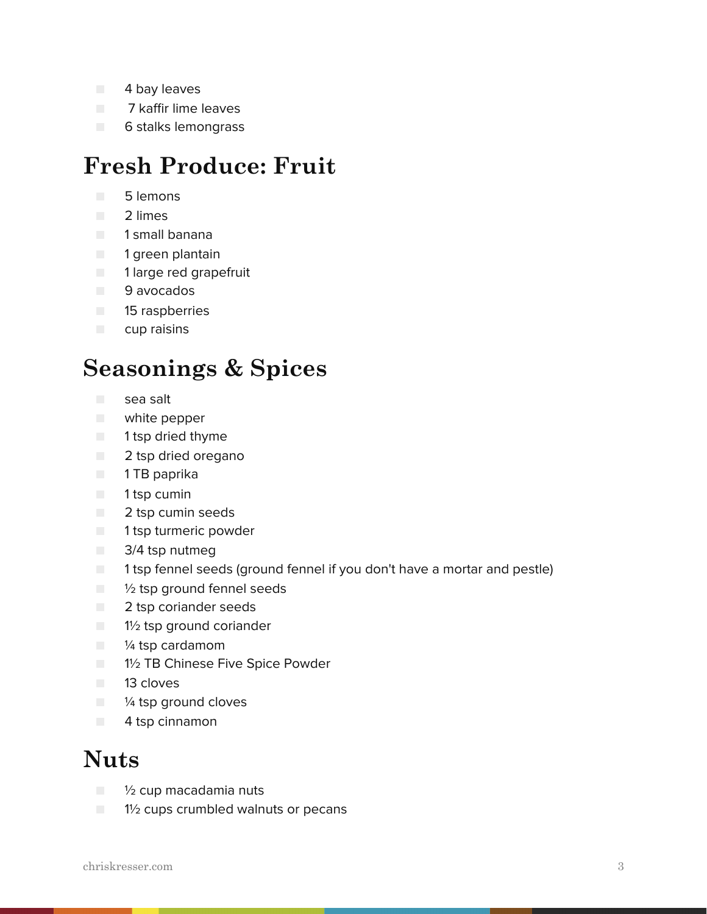- 4 bay leaves
- **The 7 kaffir lime leaves**
- 6 stalks lemongrass

#### **Fresh Produce: Fruit**

- 5 lemons
- 2 limes
- 1 small banana
- 1 green plantain
- 1 large red grapefruit
- 9 avocados
- 15 raspberries
- cup raisins

#### **Seasonings & Spices**

- sea salt
- white pepper
- 1 tsp dried thyme
- 2 tsp dried oregano
- 1 TB paprika
- 1 tsp cumin
- 2 tsp cumin seeds
- 1 tsp turmeric powder
- 3/4 tsp nutmeg
- 1 tsp fennel seeds (ground fennel if you don't have a mortar and pestle)
- 1/2 tsp ground fennel seeds
- 2 tsp coriander seeds
- 1½ tsp ground coriander
- <sup>1/4</sup> tsp cardamom
- 1½ TB Chinese Five Spice Powder
- 13 cloves
- ¼ tsp ground cloves
- 4 tsp cinnamon

#### **Nuts**

- ½ cup macadamia nuts
- $\Box$  1<sup>1</sup>/<sub>2</sub> cups crumbled walnuts or pecans